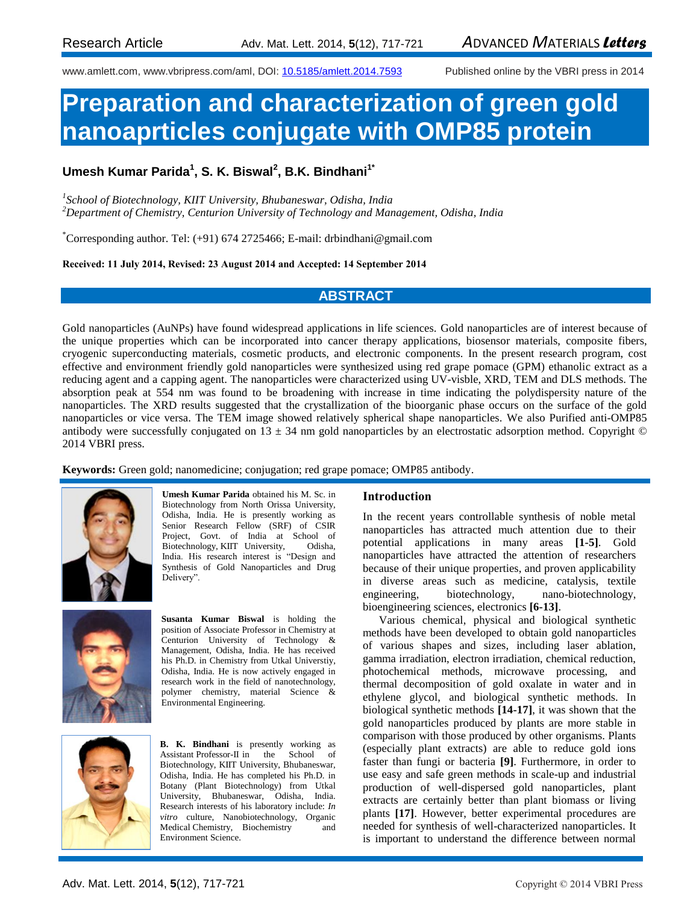www.amlett.com, www.vbripress.com/aml, DOI: [10.5185/amlett.2014.7593](http://dx.doi.org/10.5185/amlett.2014.7593) Published online by the VBRI press in 2014

# **Preparation and characterization of green gold nanoaprticles conjugate with OMP85 protein**

**Umesh Kumar Parida<sup>1</sup> , S. K. Biswal<sup>2</sup> , B.K. Bindhani1\***

*1 School of Biotechnology, KIIT University, Bhubaneswar, Odisha, India <sup>2</sup>Department of Chemistry, Centurion University of Technology and Management, Odisha, India*

\*Corresponding author. Tel: (+91) 674 2725466; E-mail: drbindhani@gmail.com

**Received: 11 July 2014, Revised: 23 August 2014 and Accepted: 14 September 2014**

# **ABSTRACT**

Gold nanoparticles (AuNPs) have found widespread applications in life sciences. Gold nanoparticles are of interest because of the unique properties which can be incorporated into cancer therapy applications, biosensor materials, composite fibers, cryogenic superconducting materials, cosmetic products, and electronic components. In the present research program, cost effective and environment friendly gold nanoparticles were synthesized using red grape pomace (GPM) ethanolic extract as a reducing agent and a capping agent. The nanoparticles were characterized using UV-visble, XRD, TEM and DLS methods. The absorption peak at 554 nm was found to be broadening with increase in time indicating the polydispersity nature of the nanoparticles. The XRD results suggested that the crystallization of the bioorganic phase occurs on the surface of the gold nanoparticles or vice versa. The TEM image showed relatively spherical shape nanoparticles. We also Purified anti-OMP85 antibody were successfully conjugated on  $13 \pm 34$  nm gold nanoparticles by an electrostatic adsorption method. Copyright  $\odot$ 2014 VBRI press.

**Keywords:** Green gold; nanomedicine; conjugation; red grape pomace; OMP85 antibody.



**Umesh Kumar Parida** obtained his M. Sc. in Biotechnology from North Orissa University, Odisha, India. He is presently working as Senior Research Fellow (SRF) of CSIR Project, Govt. of India at School of Biotechnology, KIIT University, Odisha, India. His research interest is "Design and Synthesis of Gold Nanoparticles and Drug Delivery".



**Susanta Kumar Biswal** is holding the position of Associate Professor in Chemistry at Centurion University of Technology & Management, Odisha, India. He has received his Ph.D. in Chemistry from Utkal Universtiy, Odisha, India. He is now actively engaged in research work in the field of nanotechnology, polymer chemistry, material Science & Environmental Engineering.



**B. K. Bindhani** is presently working as Assistant Professor-II in the School of Biotechnology, KIIT University, Bhubaneswar, Odisha, India. He has completed his Ph.D. in Botany (Plant Biotechnology) from Utkal University, Bhubaneswar, Odisha, India. Research interests of his laboratory include: *In vitro* culture, Nanobiotechnology, Organic Medical Chemistry, Biochemistry and Environment Science.

# **Introduction**

In the recent years controllable synthesis of noble metal nanoparticles has attracted much attention due to their potential applications in many areas **[1-5]**. Gold nanoparticles have attracted the attention of researchers because of their unique properties, and proven applicability in diverse areas such as medicine, catalysis, textile engineering, biotechnology, nano-biotechnology, bioengineering sciences, electronics **[6-13]**.

Various chemical, physical and biological synthetic methods have been developed to obtain gold nanoparticles of various shapes and sizes, including laser ablation, gamma irradiation, electron irradiation, chemical reduction, photochemical methods, microwave processing, and thermal decomposition of gold oxalate in water and in ethylene glycol, and biological synthetic methods. In biological synthetic methods **[14-17]**, it was shown that the gold nanoparticles produced by plants are more stable in comparison with those produced by other organisms. Plants (especially plant extracts) are able to reduce gold ions faster than fungi or bacteria **[9]**. Furthermore, in order to use easy and safe green methods in scale-up and industrial production of well-dispersed gold nanoparticles, plant extracts are certainly better than plant biomass or living plants **[17]**. However, better experimental procedures are needed for synthesis of well-characterized nanoparticles. It is important to understand the difference between normal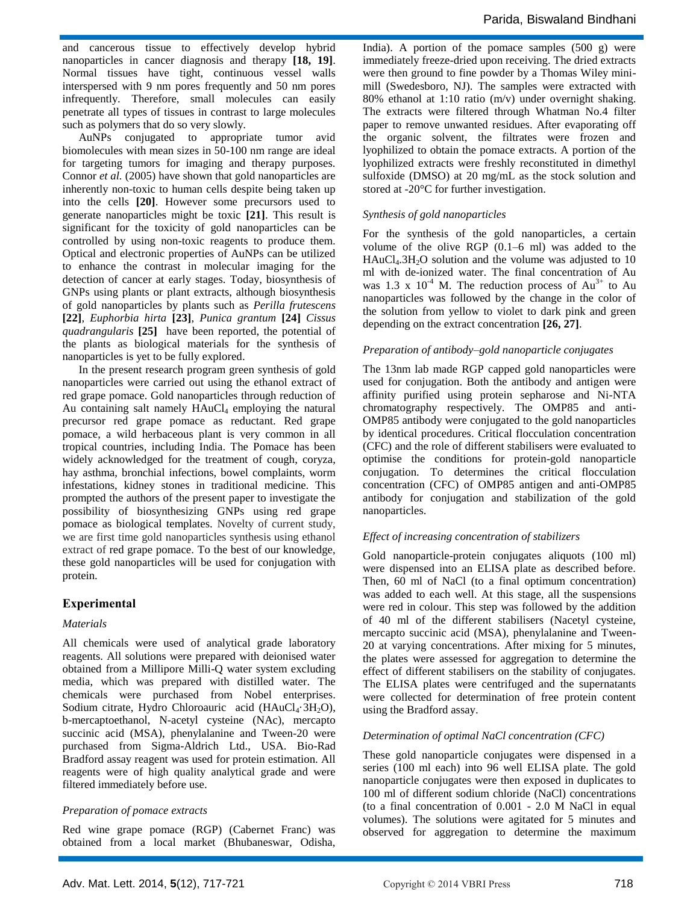Parida, Biswaland Bindhani

and cancerous tissue to effectively develop hybrid nanoparticles in cancer diagnosis and therapy **[18, 19]**. Normal tissues have tight, continuous vessel walls interspersed with 9 nm pores frequently and 50 nm pores infrequently. Therefore, small molecules can easily penetrate all types of tissues in contrast to large molecules such as polymers that do so very slowly.

AuNPs conjugated to appropriate tumor avid biomolecules with mean sizes in 50-100 nm range are ideal for targeting tumors for imaging and therapy purposes. Connor *et al.* (2005) have shown that gold nanoparticles are inherently non-toxic to human cells despite being taken up into the cells **[20]**. However some precursors used to generate nanoparticles might be toxic **[21]**. This result is significant for the toxicity of gold nanoparticles can be controlled by using non-toxic reagents to produce them. Optical and electronic properties of AuNPs can be utilized to enhance the contrast in molecular imaging for the detection of cancer at early stages. Today, biosynthesis of GNPs using plants or plant extracts, although biosynthesis of gold nanoparticles by plants such as *Perilla frutescens* **[22]**, *Euphorbia hirta* **[23]**, *Punica grantum* **[24]** *Cissus quadrangularis* **[25]** have been reported, the potential of the plants as biological materials for the synthesis of nanoparticles is yet to be fully explored.

In the present research program green synthesis of gold nanoparticles were carried out using the ethanol extract of red grape pomace. Gold nanoparticles through reduction of Au containing salt namely  $HAuCl<sub>4</sub>$  employing the natural precursor red grape pomace as reductant. Red grape pomace, a wild herbaceous plant is very common in all tropical countries, including India. The Pomace has been widely acknowledged for the treatment of cough, coryza, hay asthma, bronchial infections, bowel complaints, worm infestations, kidney stones in traditional medicine. This prompted the authors of the present paper to investigate the possibility of biosynthesizing GNPs using red grape pomace as biological templates. Novelty of current study, we are first time gold nanoparticles synthesis using ethanol extract of red grape pomace. To the best of our knowledge, these gold nanoparticles will be used for conjugation with protein.

# **Experimental**

# *Materials*

All chemicals were used of analytical grade laboratory reagents. All solutions were prepared with deionised water obtained from a Millipore Milli-Q water system excluding media, which was prepared with distilled water. The chemicals were purchased from Nobel enterprises. Sodium citrate, Hydro Chloroauric acid ( $HAuCl<sub>4</sub>·3H<sub>2</sub>O$ ), b-mercaptoethanol, N-acetyl cysteine (NAc), mercapto succinic acid (MSA), phenylalanine and Tween-20 were purchased from Sigma-Aldrich Ltd., USA. Bio-Rad Bradford assay reagent was used for protein estimation. All reagents were of high quality analytical grade and were filtered immediately before use.

# *Preparation of pomace extracts*

Red wine grape pomace (RGP) (Cabernet Franc) was obtained from a local market (Bhubaneswar, Odisha, India). A portion of the pomace samples  $(500 \text{ g})$  were immediately freeze-dried upon receiving. The dried extracts were then ground to fine powder by a Thomas Wiley minimill (Swedesboro, NJ). The samples were extracted with 80% ethanol at 1:10 ratio (m/v) under overnight shaking. The extracts were filtered through Whatman No.4 filter paper to remove unwanted residues. After evaporating off the organic solvent, the filtrates were frozen and lyophilized to obtain the pomace extracts. A portion of the lyophilized extracts were freshly reconstituted in dimethyl sulfoxide (DMSO) at 20 mg/mL as the stock solution and stored at -20°C for further investigation.

#### *Synthesis of gold nanoparticles*

For the synthesis of the gold nanoparticles, a certain volume of the olive RGP (0.1–6 ml) was added to the  $HAuCl<sub>4</sub>.3H<sub>2</sub>O$  solution and the volume was adjusted to 10 ml with de-ionized water. The final concentration of Au was 1.3 x  $10^{-4}$  M. The reduction process of Au<sup>3+</sup> to Au nanoparticles was followed by the change in the color of the solution from yellow to violet to dark pink and green depending on the extract concentration **[26, 27]**.

#### *Preparation of antibody–gold nanoparticle conjugates*

The 13nm lab made RGP capped gold nanoparticles were used for conjugation. Both the antibody and antigen were affinity purified using protein sepharose and Ni-NTA chromatography respectively. The OMP85 and anti-OMP85 antibody were conjugated to the gold nanoparticles by identical procedures. Critical flocculation concentration (CFC) and the role of different stabilisers were evaluated to optimise the conditions for protein-gold nanoparticle conjugation. To determines the critical flocculation concentration (CFC) of OMP85 antigen and anti-OMP85 antibody for conjugation and stabilization of the gold nanoparticles.

# *Effect of increasing concentration of stabilizers*

Gold nanoparticle-protein conjugates aliquots (100 ml) were dispensed into an ELISA plate as described before. Then, 60 ml of NaCl (to a final optimum concentration) was added to each well. At this stage, all the suspensions were red in colour. This step was followed by the addition of 40 ml of the different stabilisers (Nacetyl cysteine, mercapto succinic acid (MSA), phenylalanine and Tween-20 at varying concentrations. After mixing for 5 minutes, the plates were assessed for aggregation to determine the effect of different stabilisers on the stability of conjugates. The ELISA plates were centrifuged and the supernatants were collected for determination of free protein content using the Bradford assay.

#### *Determination of optimal NaCl concentration (CFC)*

These gold nanoparticle conjugates were dispensed in a series (100 ml each) into 96 well ELISA plate. The gold nanoparticle conjugates were then exposed in duplicates to 100 ml of different sodium chloride (NaCl) concentrations (to a final concentration of 0.001 - 2.0 M NaCl in equal volumes). The solutions were agitated for 5 minutes and observed for aggregation to determine the maximum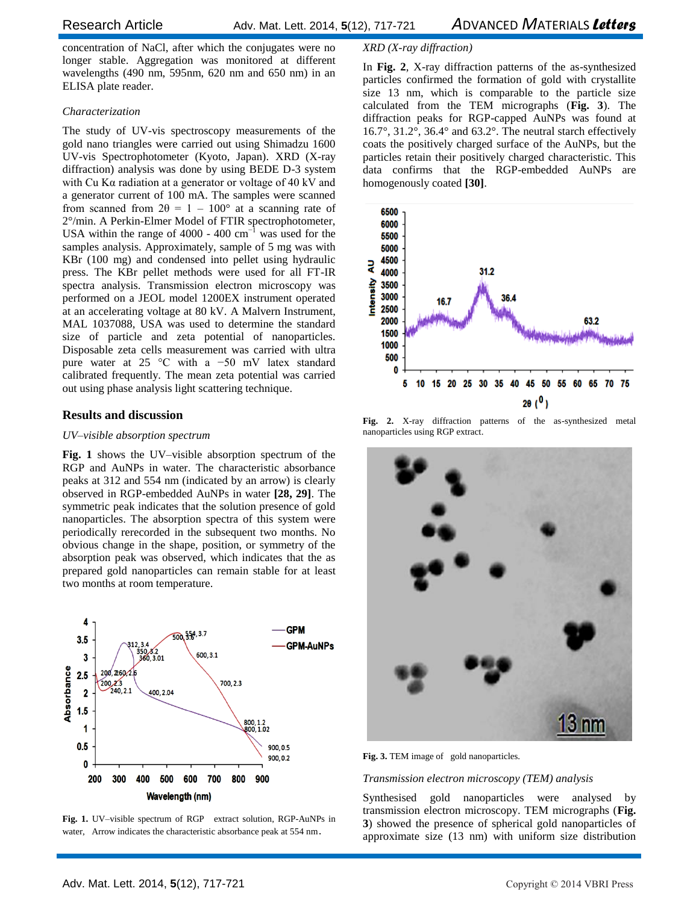concentration of NaCl, after which the conjugates were no longer stable. Aggregation was monitored at different wavelengths (490 nm, 595nm, 620 nm and 650 nm) in an ELISA plate reader.

# *Characterization*

The study of UV-vis spectroscopy measurements of the gold nano triangles were carried out using Shimadzu 1600 UV-vis Spectrophotometer (Kyoto, Japan). XRD (X-ray diffraction) analysis was done by using BEDE D-3 system with Cu Kα radiation at a generator or voltage of 40 kV and a generator current of 100 mA. The samples were scanned from scanned from  $2\theta = 1 - 100^{\circ}$  at a scanning rate of 2°/min. A Perkin-Elmer Model of FTIR spectrophotometer, USA within the range of 4000 - 400  $\text{cm}^{-1}$  was used for the samples analysis. Approximately, sample of 5 mg was with KBr (100 mg) and condensed into pellet using hydraulic press. The KBr pellet methods were used for all FT-IR spectra analysis. Transmission electron microscopy was performed on a JEOL model 1200EX instrument operated at an accelerating voltage at 80 kV. A Malvern Instrument, MAL 1037088, USA was used to determine the standard size of particle and zeta potential of nanoparticles. Disposable zeta cells measurement was carried with ultra pure water at 25 °C with a −50 mV latex standard calibrated frequently. The mean zeta potential was carried out using phase analysis light scattering technique.

# **Results and discussion**

# *UV–visible absorption spectrum*

**Fig. 1** shows the UV–visible absorption spectrum of the RGP and AuNPs in water. The characteristic absorbance peaks at 312 and 554 nm (indicated by an arrow) is clearly observed in RGP-embedded AuNPs in water **[28, 29]**. The symmetric peak indicates that the solution presence of gold nanoparticles. The absorption spectra of this system were periodically rerecorded in the subsequent two months. No obvious change in the shape, position, or symmetry of the absorption peak was observed, which indicates that the as prepared gold nanoparticles can remain stable for at least two months at room temperature.



**Fig. 1.** UV–visible spectrum of RGP extract solution, RGP-AuNPs in water, Arrow indicates the characteristic absorbance peak at 554 nm.

# *XRD (X-ray diffraction)*

In **Fig. 2**, X-ray diffraction patterns of the as-synthesized particles confirmed the formation of gold with crystallite size 13 nm, which is comparable to the particle size calculated from the TEM micrographs (**Fig. 3**). The diffraction peaks for RGP-capped AuNPs was found at 16.7°, 31.2°, 36.4° and 63.2°. The neutral starch effectively coats the positively charged surface of the AuNPs, but the particles retain their positively charged characteristic. This data confirms that the RGP-embedded AuNPs are homogenously coated **[30]**.



**Fig. 2.** X-ray diffraction patterns of the as-synthesized metal nanoparticles using RGP extract.



**Fig. 3.** TEM image of gold nanoparticles.

#### *Transmission electron microscopy (TEM) analysis*

Synthesised gold nanoparticles were analysed by transmission electron microscopy. TEM micrographs (**Fig. 3**) showed the presence of spherical gold nanoparticles of approximate size (13 nm) with uniform size distribution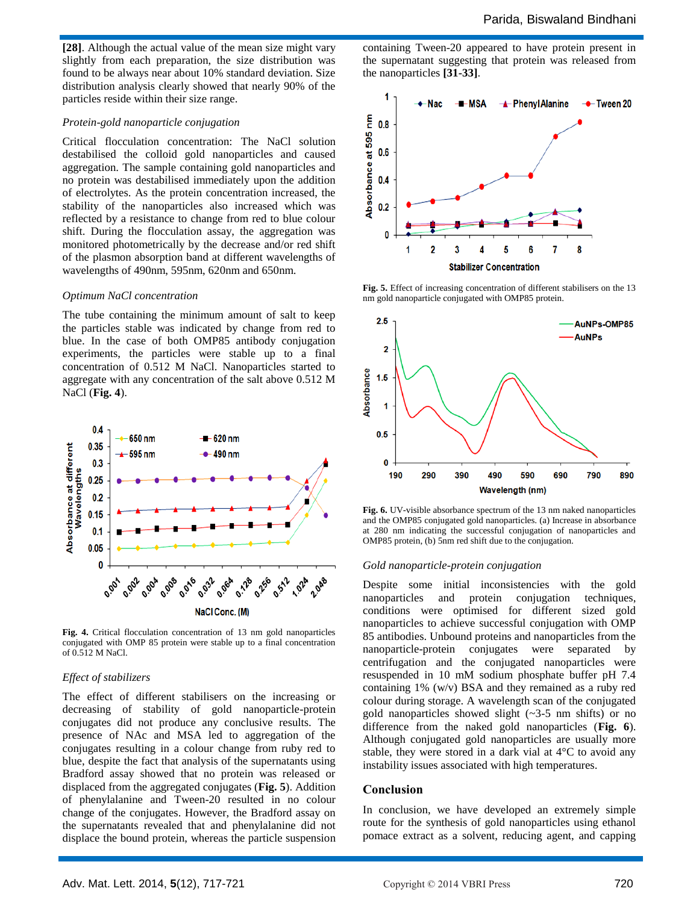**[28]**. Although the actual value of the mean size might vary slightly from each preparation, the size distribution was found to be always near about 10% standard deviation. Size distribution analysis clearly showed that nearly 90% of the particles reside within their size range.

#### *Protein-gold nanoparticle conjugation*

Critical flocculation concentration: The NaCl solution destabilised the colloid gold nanoparticles and caused aggregation. The sample containing gold nanoparticles and no protein was destabilised immediately upon the addition of electrolytes. As the protein concentration increased, the stability of the nanoparticles also increased which was reflected by a resistance to change from red to blue colour shift. During the flocculation assay, the aggregation was monitored photometrically by the decrease and/or red shift of the plasmon absorption band at different wavelengths of wavelengths of 490nm, 595nm, 620nm and 650nm.

#### *Optimum NaCl concentration*

The tube containing the minimum amount of salt to keep the particles stable was indicated by change from red to blue. In the case of both OMP85 antibody conjugation experiments, the particles were stable up to a final concentration of 0.512 M NaCl. Nanoparticles started to aggregate with any concentration of the salt above 0.512 M NaCl (**Fig. 4**).



**Fig. 4.** Critical flocculation concentration of 13 nm gold nanoparticles conjugated with OMP 85 protein were stable up to a final concentration of 0.512 M NaCl.

#### *Effect of stabilizers*

The effect of different stabilisers on the increasing or decreasing of stability of gold nanoparticle-protein conjugates did not produce any conclusive results. The presence of NAc and MSA led to aggregation of the conjugates resulting in a colour change from ruby red to blue, despite the fact that analysis of the supernatants using Bradford assay showed that no protein was released or displaced from the aggregated conjugates (**Fig. 5**). Addition of phenylalanine and Tween-20 resulted in no colour change of the conjugates. However, the Bradford assay on the supernatants revealed that and phenylalanine did not displace the bound protein, whereas the particle suspension

containing Tween-20 appeared to have protein present in the supernatant suggesting that protein was released from the nanoparticles **[31-33]**.



**Fig. 5.** Effect of increasing concentration of different stabilisers on the 13 nm gold nanoparticle conjugated with OMP85 protein.



**Fig. 6.** UV-visible absorbance spectrum of the 13 nm naked nanoparticles and the OMP85 conjugated gold nanoparticles. (a) Increase in absorbance at 280 nm indicating the successful conjugation of nanoparticles and OMP85 protein, (b) 5nm red shift due to the conjugation.

#### *Gold nanoparticle-protein conjugation*

Despite some initial inconsistencies with the gold nanoparticles and protein conjugation techniques, conditions were optimised for different sized gold nanoparticles to achieve successful conjugation with OMP 85 antibodies. Unbound proteins and nanoparticles from the nanoparticle-protein conjugates were separated by centrifugation and the conjugated nanoparticles were resuspended in 10 mM sodium phosphate buffer pH 7.4 containing 1% (w/v) BSA and they remained as a ruby red colour during storage. A wavelength scan of the conjugated gold nanoparticles showed slight (~3-5 nm shifts) or no difference from the naked gold nanoparticles (**Fig. 6**). Although conjugated gold nanoparticles are usually more stable, they were stored in a dark vial at  $4^{\circ}$ C to avoid any instability issues associated with high temperatures.

#### **Conclusion**

In conclusion, we have developed an extremely simple route for the synthesis of gold nanoparticles using ethanol pomace extract as a solvent, reducing agent, and capping